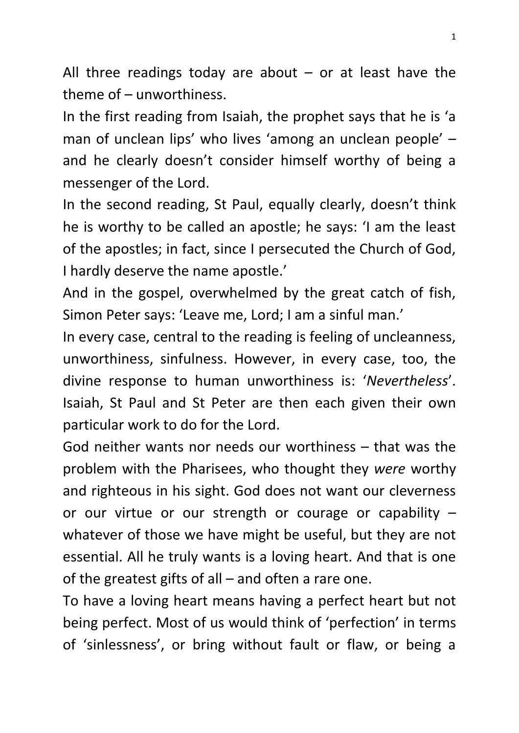All three readings today are about  $-$  or at least have the theme of – unworthiness.

In the first reading from Isaiah, the prophet says that he is 'a man of unclean lips' who lives 'among an unclean people' – and he clearly doesn't consider himself worthy of being a messenger of the Lord.

In the second reading, St Paul, equally clearly, doesn't think he is worthy to be called an apostle; he says: 'I am the least of the apostles; in fact, since I persecuted the Church of God, I hardly deserve the name apostle.'

And in the gospel, overwhelmed by the great catch of fish, Simon Peter says: 'Leave me, Lord; I am a sinful man.'

In every case, central to the reading is feeling of uncleanness, unworthiness, sinfulness. However, in every case, too, the divine response to human unworthiness is: '*Nevertheless*'. Isaiah, St Paul and St Peter are then each given their own particular work to do for the Lord.

God neither wants nor needs our worthiness – that was the problem with the Pharisees, who thought they *were* worthy and righteous in his sight. God does not want our cleverness or our virtue or our strength or courage or capability – whatever of those we have might be useful, but they are not essential. All he truly wants is a loving heart. And that is one of the greatest gifts of all – and often a rare one.

To have a loving heart means having a perfect heart but not being perfect. Most of us would think of 'perfection' in terms of 'sinlessness', or bring without fault or flaw, or being a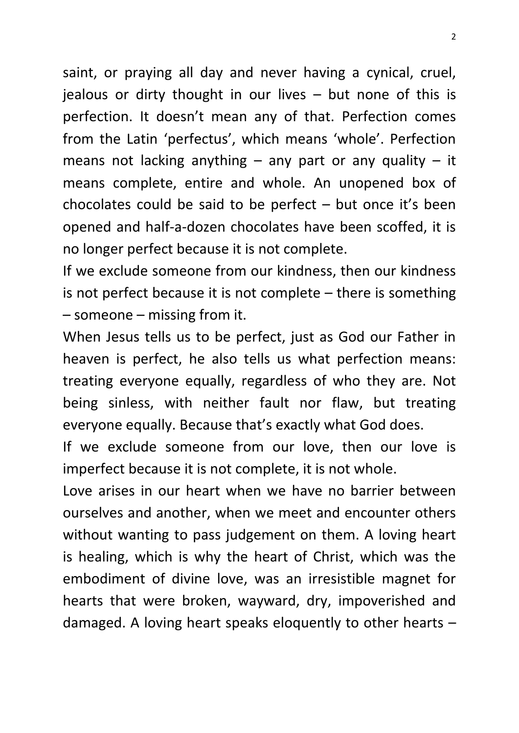saint, or praying all day and never having a cynical, cruel, jealous or dirty thought in our lives – but none of this is perfection. It doesn't mean any of that. Perfection comes from the Latin 'perfectus', which means 'whole'. Perfection means not lacking anything  $-$  any part or any quality  $-$  it means complete, entire and whole. An unopened box of chocolates could be said to be perfect – but once it's been opened and half-a-dozen chocolates have been scoffed, it is no longer perfect because it is not complete.

If we exclude someone from our kindness, then our kindness is not perfect because it is not complete – there is something – someone – missing from it.

When Jesus tells us to be perfect, just as God our Father in heaven is perfect, he also tells us what perfection means: treating everyone equally, regardless of who they are. Not being sinless, with neither fault nor flaw, but treating everyone equally. Because that's exactly what God does.

If we exclude someone from our love, then our love is imperfect because it is not complete, it is not whole.

Love arises in our heart when we have no barrier between ourselves and another, when we meet and encounter others without wanting to pass judgement on them. A loving heart is healing, which is why the heart of Christ, which was the embodiment of divine love, was an irresistible magnet for hearts that were broken, wayward, dry, impoverished and damaged. A loving heart speaks eloquently to other hearts –